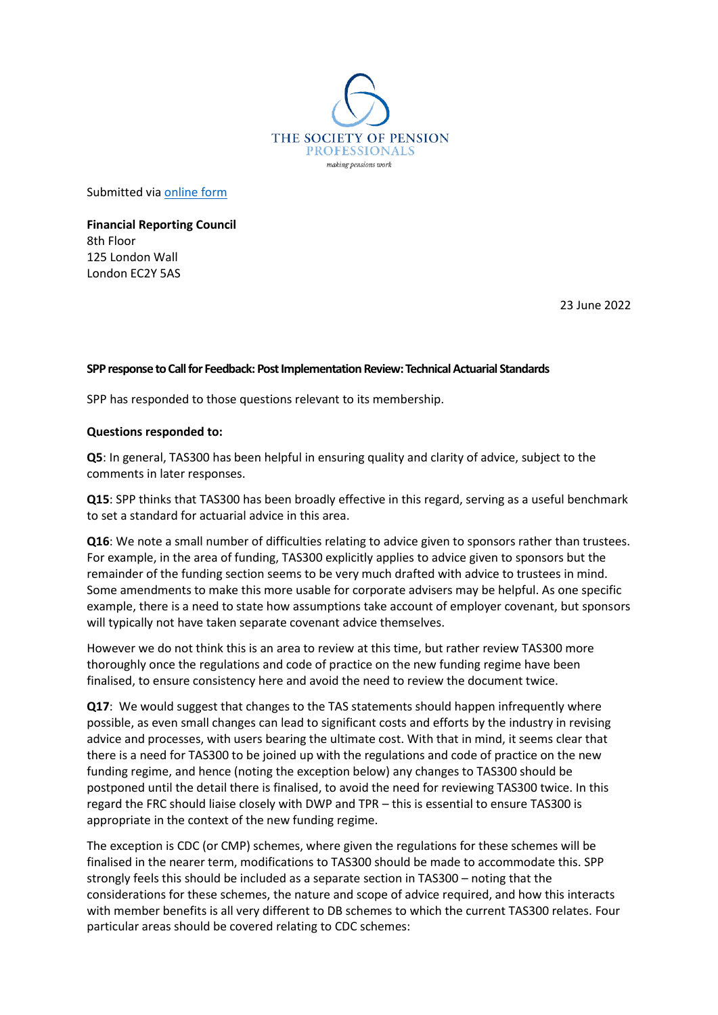

Submitted via [online form](https://forms.office.com/Pages/ResponsePage.aspx?id=VIaMCFoag02RFJZnExct17VDDuhS4GNFtmy_5EvTjgFUNUo1UTJJQTFVMjNMNlE2MzJINVJCMzkzRi4u)

**Financial Reporting Council** 8th Floor 125 London Wall London EC2Y 5AS

23 June 2022

## **SPP response to Call for Feedback: Post Implementation Review: Technical Actuarial Standards**

SPP has responded to those questions relevant to its membership.

## **Questions responded to:**

**Q5**: In general, TAS300 has been helpful in ensuring quality and clarity of advice, subject to the comments in later responses.

**Q15**: SPP thinks that TAS300 has been broadly effective in this regard, serving as a useful benchmark to set a standard for actuarial advice in this area.

**Q16**: We note a small number of difficulties relating to advice given to sponsors rather than trustees. For example, in the area of funding, TAS300 explicitly applies to advice given to sponsors but the remainder of the funding section seems to be very much drafted with advice to trustees in mind. Some amendments to make this more usable for corporate advisers may be helpful. As one specific example, there is a need to state how assumptions take account of employer covenant, but sponsors will typically not have taken separate covenant advice themselves.

However we do not think this is an area to review at this time, but rather review TAS300 more thoroughly once the regulations and code of practice on the new funding regime have been finalised, to ensure consistency here and avoid the need to review the document twice.

**Q17**: We would suggest that changes to the TAS statements should happen infrequently where possible, as even small changes can lead to significant costs and efforts by the industry in revising advice and processes, with users bearing the ultimate cost. With that in mind, it seems clear that there is a need for TAS300 to be joined up with the regulations and code of practice on the new funding regime, and hence (noting the exception below) any changes to TAS300 should be postponed until the detail there is finalised, to avoid the need for reviewing TAS300 twice. In this regard the FRC should liaise closely with DWP and TPR – this is essential to ensure TAS300 is appropriate in the context of the new funding regime.

The exception is CDC (or CMP) schemes, where given the regulations for these schemes will be finalised in the nearer term, modifications to TAS300 should be made to accommodate this. SPP strongly feels this should be included as a separate section in TAS300 – noting that the considerations for these schemes, the nature and scope of advice required, and how this interacts with member benefits is all very different to DB schemes to which the current TAS300 relates. Four particular areas should be covered relating to CDC schemes: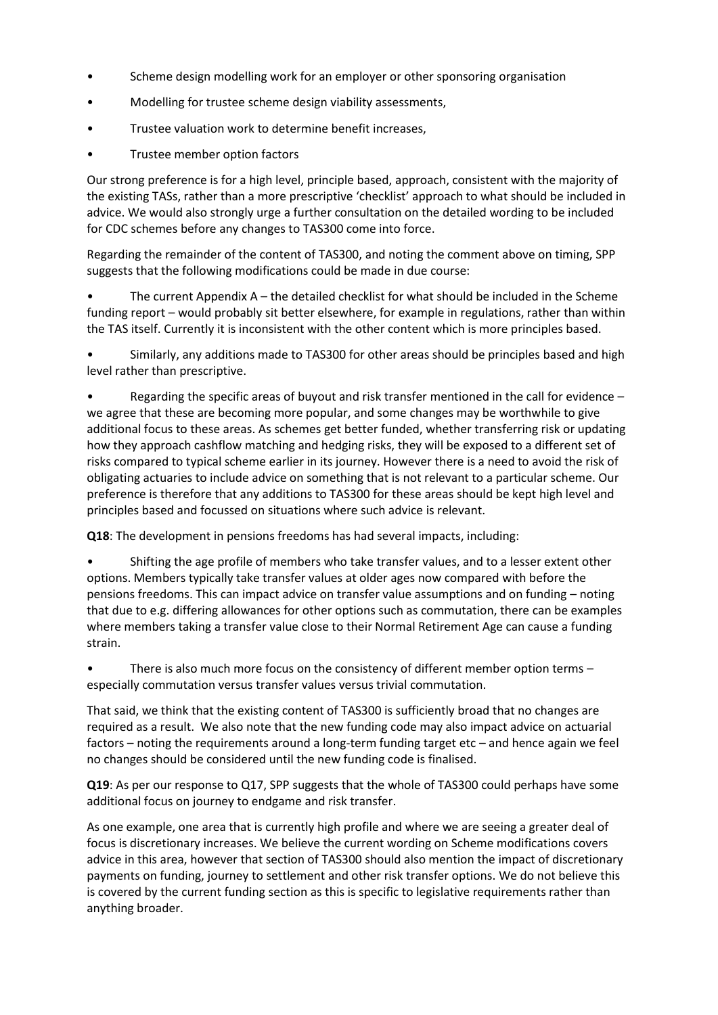- Scheme design modelling work for an employer or other sponsoring organisation
- Modelling for trustee scheme design viability assessments,
- Trustee valuation work to determine benefit increases,
- Trustee member option factors

Our strong preference is for a high level, principle based, approach, consistent with the majority of the existing TASs, rather than a more prescriptive 'checklist' approach to what should be included in advice. We would also strongly urge a further consultation on the detailed wording to be included for CDC schemes before any changes to TAS300 come into force.

Regarding the remainder of the content of TAS300, and noting the comment above on timing, SPP suggests that the following modifications could be made in due course:

The current Appendix  $A$  – the detailed checklist for what should be included in the Scheme funding report – would probably sit better elsewhere, for example in regulations, rather than within the TAS itself. Currently it is inconsistent with the other content which is more principles based.

• Similarly, any additions made to TAS300 for other areas should be principles based and high level rather than prescriptive.

• Regarding the specific areas of buyout and risk transfer mentioned in the call for evidence – we agree that these are becoming more popular, and some changes may be worthwhile to give additional focus to these areas. As schemes get better funded, whether transferring risk or updating how they approach cashflow matching and hedging risks, they will be exposed to a different set of risks compared to typical scheme earlier in its journey. However there is a need to avoid the risk of obligating actuaries to include advice on something that is not relevant to a particular scheme. Our preference is therefore that any additions to TAS300 for these areas should be kept high level and principles based and focussed on situations where such advice is relevant.

**Q18**: The development in pensions freedoms has had several impacts, including:

• Shifting the age profile of members who take transfer values, and to a lesser extent other options. Members typically take transfer values at older ages now compared with before the pensions freedoms. This can impact advice on transfer value assumptions and on funding – noting that due to e.g. differing allowances for other options such as commutation, there can be examples where members taking a transfer value close to their Normal Retirement Age can cause a funding strain.

• There is also much more focus on the consistency of different member option terms – especially commutation versus transfer values versus trivial commutation.

That said, we think that the existing content of TAS300 is sufficiently broad that no changes are required as a result. We also note that the new funding code may also impact advice on actuarial factors – noting the requirements around a long-term funding target etc – and hence again we feel no changes should be considered until the new funding code is finalised.

**Q19**: As per our response to Q17, SPP suggests that the whole of TAS300 could perhaps have some additional focus on journey to endgame and risk transfer.

As one example, one area that is currently high profile and where we are seeing a greater deal of focus is discretionary increases. We believe the current wording on Scheme modifications covers advice in this area, however that section of TAS300 should also mention the impact of discretionary payments on funding, journey to settlement and other risk transfer options. We do not believe this is covered by the current funding section as this is specific to legislative requirements rather than anything broader.